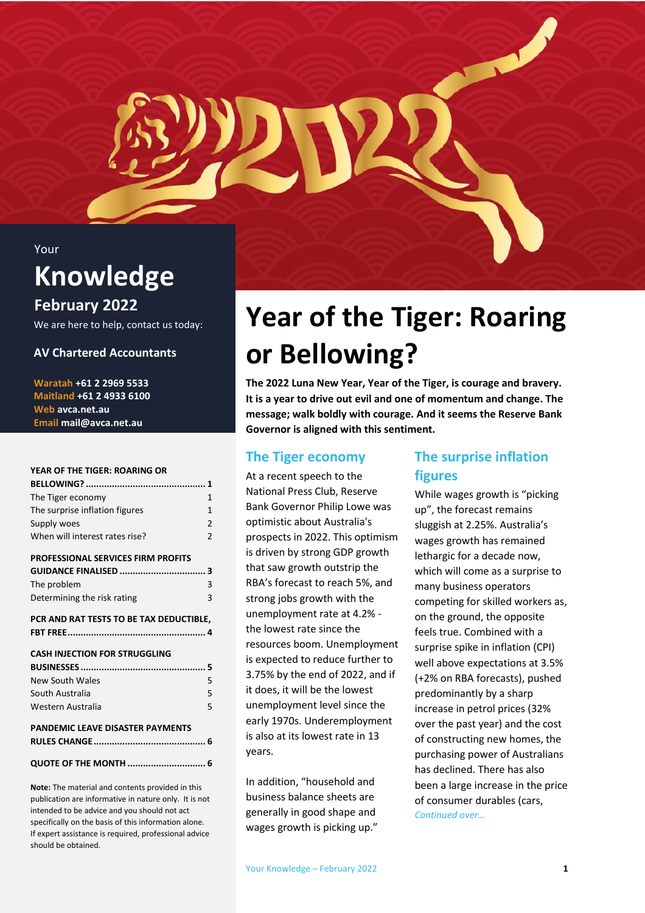#### Your

### **Knowledge**

### **February 2022**

We are here to help, contact us today:

### **AV Chartered Accountants**

**Waratah +61 2 2969 5533 Maitland +61 2 4933 6100 Web avca.net.au Email mail@avca.net.au**

#### **[YEAR OF THE TIGER: ROARING OR](#page-0-0)**

| The Tiger economy                         | 1              |
|-------------------------------------------|----------------|
| The surprise inflation figures            | 1              |
| Supply woes                               | $\overline{2}$ |
| When will interest rates rise?            | $\mathfrak{p}$ |
| <b>PROFESSIONAL SERVICES FIRM PROFITS</b> |                |
|                                           |                |
| The problem                               | 3              |
| Determining the risk rating               | 3              |
| PCR AND RAT TESTS TO BE TAX DEDUCTIBLE,   |                |
|                                           |                |
|                                           |                |
|                                           |                |
| <b>CASH INJECTION FOR STRUGGLING</b>      |                |
|                                           |                |
| New South Wales                           | 5              |
| South Australia                           | 5              |
| Western Australia                         | 5              |
| <b>PANDEMIC LEAVE DISASTER PAYMENTS</b>   |                |
|                                           |                |
|                                           |                |
| <b>QUOTE OF THE MONTH  6</b>              |                |

**Note:** The material and contents provided in this publication are informative in nature only. It is not intended to be advice and you should not act specifically on the basis of this information alone. If expert assistance is required, professional advice should be obtained.

## <span id="page-0-0"></span>**Year of the Tiger: Roaring or Bellowing?**

**The 2022 Luna New Year, Year of the Tiger, is courage and bravery. It is a year to drive out evil and one of momentum and change. The message; walk boldly with courage. And it seems the Reserve Bank Governor is aligned with this sentiment.**

### <span id="page-0-1"></span>**The Tiger economy**

At a recent speech to the National Press Club, Reserve Bank Governor Philip Lowe was optimistic about Australia's prospects in 2022. This optimism is driven by strong GDP growth that saw growth outstrip the RBA's forecast to reach 5%, and strong jobs growth with the unemployment rate at 4.2% the lowest rate since the resources boom. Unemployment is expected to reduce further to 3.75% by the end of 2022, and if it does, it will be the lowest unemployment level since the early 1970s. Underemployment is also at its lowest rate in 13 years.

In addition, "household and business balance sheets are generally in good shape and wages growth is picking up."

### <span id="page-0-2"></span>**The surprise inflation figures**

While wages growth is "picking up", the forecast remains sluggish at 2.25%. Australia's wages growth has remained lethargic for a decade now, which will come as a surprise to many business operators competing for skilled workers as, on the ground, the opposite feels true. Combined with a surprise spike in inflation (CPI) well above expectations at 3.5% (+2% on RBA forecasts), pushed predominantly by a sharp increase in petrol prices (32% over the past year) and the cost of constructing new homes, the purchasing power of Australians has declined. There has also been a large increase in the price of consumer durables (cars, *Continued over…*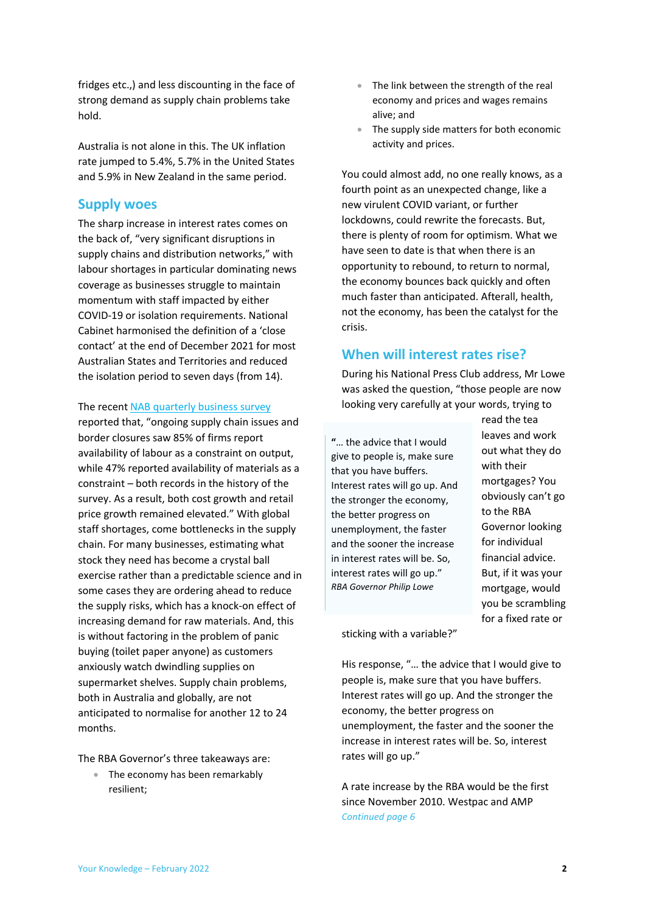fridges etc.,) and less discounting in the face of strong demand as supply chain problems take hold.

Australia is not alone in this. The UK inflation rate jumped to 5.4%, 5.7% in the United States and 5.9% in New Zealand in the same period.

#### <span id="page-1-0"></span>**Supply woes**

The sharp increase in interest rates comes on the back of, "very significant disruptions in supply chains and distribution networks," with labour shortages in particular dominating news coverage as businesses struggle to maintain momentum with staff impacted by either COVID-19 or isolation requirements. National Cabinet harmonised the definition of a 'close contact' at the end of December 2021 for most Australian States and Territories and reduced the isolation period to seven days (from 14).

The recen[t NAB quarterly business survey](https://business.nab.com.au/nab-quarterly-business-survey-december-2021-50997/)

reported that, "ongoing supply chain issues and border closures saw 85% of firms report availability of labour as a constraint on output, while 47% reported availability of materials as a constraint – both records in the history of the survey. As a result, both cost growth and retail price growth remained elevated." With global staff shortages, come bottlenecks in the supply chain. For many businesses, estimating what stock they need has become a crystal ball exercise rather than a predictable science and in some cases they are ordering ahead to reduce the supply risks, which has a knock-on effect of increasing demand for raw materials. And, this is without factoring in the problem of panic buying (toilet paper anyone) as customers anxiously watch dwindling supplies on supermarket shelves. Supply chain problems, both in Australia and globally, are not anticipated to normalise for another 12 to 24 months.

The RBA Governor's three takeaways are:

• The economy has been remarkably resilient;

- The link between the strength of the real economy and prices and wages remains alive; and
- The supply side matters for both economic activity and prices.

You could almost add, no one really knows, as a fourth point as an unexpected change, like a new virulent COVID variant, or further lockdowns, could rewrite the forecasts. But, there is plenty of room for optimism. What we have seen to date is that when there is an opportunity to rebound, to return to normal, the economy bounces back quickly and often much faster than anticipated. Afterall, health, not the economy, has been the catalyst for the crisis.

#### <span id="page-1-1"></span>**When will interest rates rise?**

During his National Press Club address, Mr Lowe was asked the question, "those people are now looking very carefully at your words, trying to

**"**… the advice that I would give to people is, make sure that you have buffers. Interest rates will go up. And the stronger the economy, the better progress on unemployment, the faster and the sooner the increase in interest rates will be. So, interest rates will go up." *RBA Governor Philip Lowe*

read the tea leaves and work out what they do with their mortgages? You obviously can't go to the RBA Governor looking for individual financial advice. But, if it was your mortgage, would you be scrambling for a fixed rate or

sticking with a variable?"

His response, "… the advice that I would give to people is, make sure that you have buffers. Interest rates will go up. And the stronger the economy, the better progress on unemployment, the faster and the sooner the increase in interest rates will be. So, interest rates will go up."

A rate increase by the RBA would be the first since November 2010. Westpac and AMP *Continued page 6*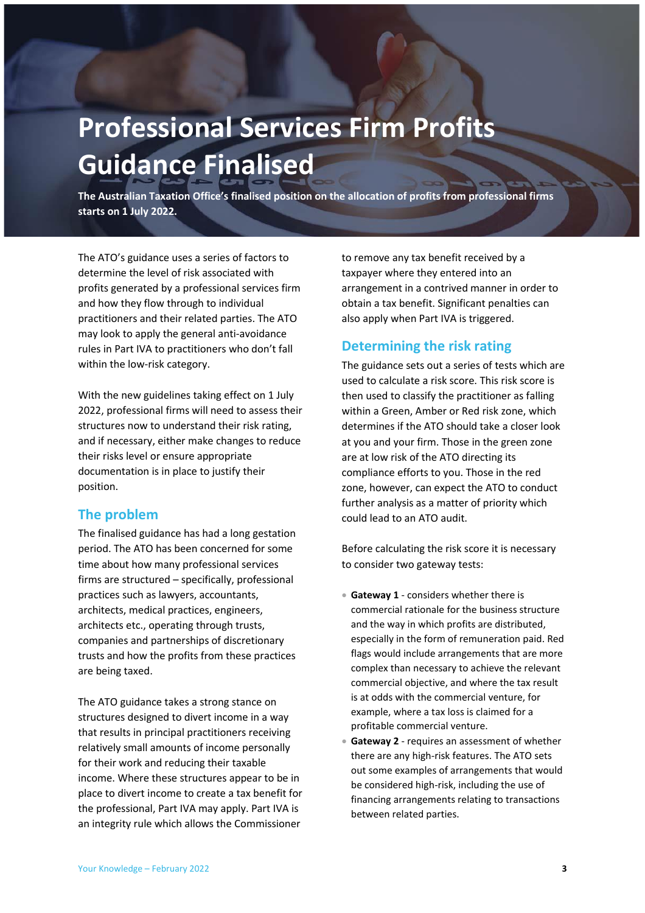## <span id="page-2-0"></span>**Professional Services Firm Profits Guidance Finalised**

**The Australian Taxation Office's finalised position on the allocation of profits from professional firms starts on 1 July 2022.**

The ATO's guidance uses a series of factors to determine the level of risk associated with profits generated by a professional services firm and how they flow through to individual practitioners and their related parties. The ATO may look to apply the general anti-avoidance rules in Part IVA to practitioners who don't fall within the low-risk category.

With the new guidelines taking effect on 1 July 2022, professional firms will need to assess their structures now to understand their risk rating, and if necessary, either make changes to reduce their risks level or ensure appropriate documentation is in place to justify their position.

#### <span id="page-2-1"></span>**The problem**

The finalised guidance has had a long gestation period. The ATO has been concerned for some time about how many professional services firms are structured – specifically, professional practices such as lawyers, accountants, architects, medical practices, engineers, architects etc., operating through trusts, companies and partnerships of discretionary trusts and how the profits from these practices are being taxed.

The ATO guidance takes a strong stance on structures designed to divert income in a way that results in principal practitioners receiving relatively small amounts of income personally for their work and reducing their taxable income. Where these structures appear to be in place to divert income to create a tax benefit for the professional, Part IVA may apply. Part IVA is an integrity rule which allows the Commissioner

to remove any tax benefit received by a taxpayer where they entered into an arrangement in a contrived manner in order to obtain a tax benefit. Significant penalties can also apply when Part IVA is triggered.

#### <span id="page-2-2"></span>**Determining the risk rating**

The guidance sets out a series of tests which are used to calculate a risk score. This risk score is then used to classify the practitioner as falling within a Green, Amber or Red risk zone, which determines if the ATO should take a closer look at you and your firm. Those in the green zone are at low risk of the ATO directing its compliance efforts to you. Those in the red zone, however, can expect the ATO to conduct further analysis as a matter of priority which could lead to an ATO audit.

Before calculating the risk score it is necessary to consider two gateway tests:

- **Gateway 1** considers whether there is commercial rationale for the business structure and the way in which profits are distributed, especially in the form of remuneration paid. Red flags would include arrangements that are more complex than necessary to achieve the relevant commercial objective, and where the tax result is at odds with the commercial venture, for example, where a tax loss is claimed for a profitable commercial venture.
- **Gateway 2** requires an assessment of whether there are any high-risk features. The ATO sets out some examples of arrangements that would be considered high-risk, including the use of financing arrangements relating to transactions between related parties.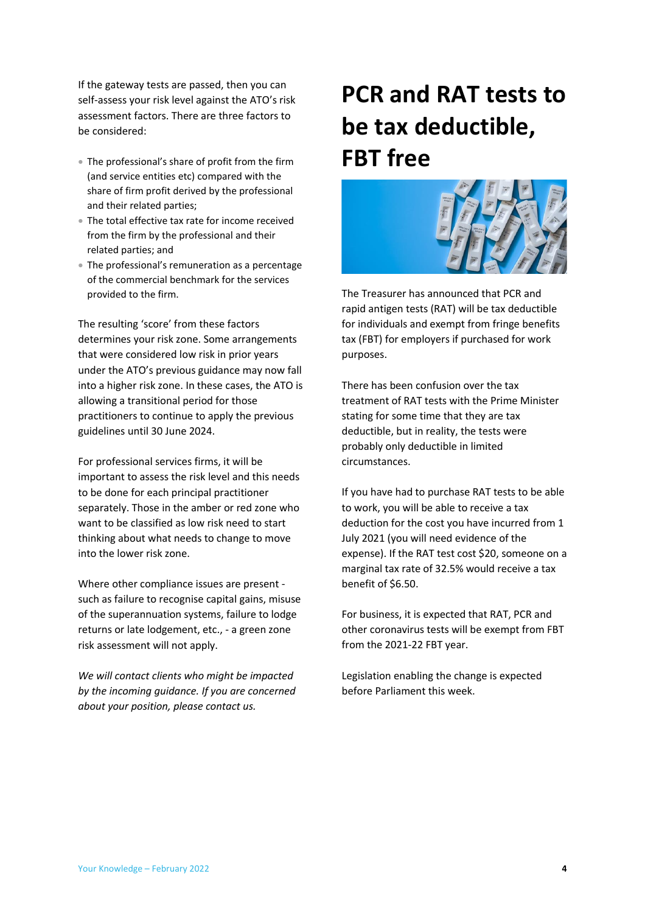If the gateway tests are passed, then you can self-assess your risk level against the ATO's risk assessment factors. There are three factors to be considered:

- The professional's share of profit from the firm (and service entities etc) compared with the share of firm profit derived by the professional and their related parties;
- The total effective tax rate for income received from the firm by the professional and their related parties; and
- The professional's remuneration as a percentage of the commercial benchmark for the services provided to the firm.

The resulting 'score' from these factors determines your risk zone. Some arrangements that were considered low risk in prior years under the ATO's previous guidance may now fall into a higher risk zone. In these cases, the ATO is allowing a transitional period for those practitioners to continue to apply the previous guidelines until 30 June 2024.

For professional services firms, it will be important to assess the risk level and this needs to be done for each principal practitioner separately. Those in the amber or red zone who want to be classified as low risk need to start thinking about what needs to change to move into the lower risk zone.

Where other compliance issues are present such as failure to recognise capital gains, misuse of the superannuation systems, failure to lodge returns or late lodgement, etc., - a green zone risk assessment will not apply.

*We will contact clients who might be impacted by the incoming guidance. If you are concerned about your position, please contact us.*

### <span id="page-3-0"></span>**PCR and RAT tests to be tax deductible, FBT free**



The Treasurer has announced that PCR and rapid antigen tests (RAT) will be tax deductible for individuals and exempt from fringe benefits tax (FBT) for employers if purchased for work purposes.

There has been confusion over the tax treatment of RAT tests with the Prime Minister stating for some time that they are tax deductible, but in reality, the tests were probably only deductible in limited circumstances.

If you have had to purchase RAT tests to be able to work, you will be able to receive a tax deduction for the cost you have incurred from 1 July 2021 (you will need evidence of the expense). If the RAT test cost \$20, someone on a marginal tax rate of 32.5% would receive a tax benefit of \$6.50.

For business, it is expected that RAT, PCR and other coronavirus tests will be exempt from FBT from the 2021-22 FBT year.

Legislation enabling the change is expected before Parliament this week.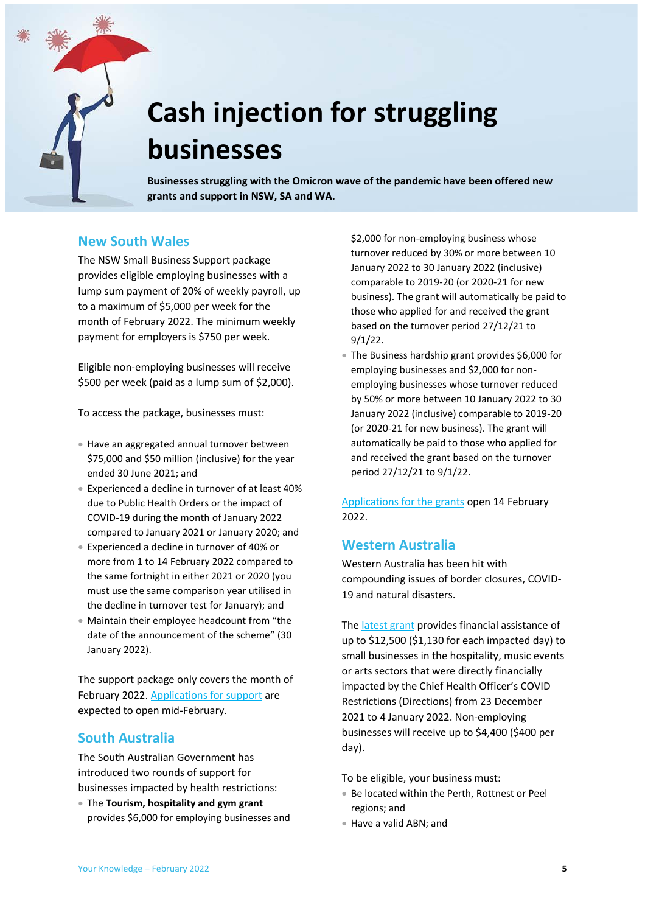

# <span id="page-4-0"></span>**Cash injection for struggling businesses**

**Businesses struggling with the Omicron wave of the pandemic have been offered new grants and support in NSW, SA and WA.**

### <span id="page-4-1"></span>**New South Wales**

The NSW Small Business Support package provides eligible employing businesses with a lump sum payment of 20% of weekly payroll, up to a maximum of \$5,000 per week for the month of February 2022. The minimum weekly payment for employers is \$750 per week.

Eligible non-employing businesses will receive \$500 per week (paid as a lump sum of \$2,000).

To access the package, businesses must:

- Have an aggregated annual turnover between \$75,000 and \$50 million (inclusive) for the year ended 30 June 2021; and
- Experienced a decline in turnover of at least 40% due to Public Health Orders or the impact of COVID-19 during the month of January 2022 compared to January 2021 or January 2020; and
- Experienced a decline in turnover of 40% or more from 1 to 14 February 2022 compared to the same fortnight in either 2021 or 2020 (you must use the same comparison year utilised in the decline in turnover test for January); and
- Maintain their employee headcount from "the date of the announcement of the scheme" (30 January 2022).

The support package only covers the month of February 2022. [Applications for support](https://www.service.nsw.gov.au/transaction/2022-small-business-support-program) are expected to open mid-February.

#### <span id="page-4-2"></span>**South Australia**

The South Australian Government has introduced two rounds of support for businesses impacted by health restrictions:

 The **Tourism, hospitality and gym grant** provides \$6,000 for employing businesses and \$2,000 for non-employing business whose turnover reduced by 30% or more between 10 January 2022 to 30 January 2022 (inclusive) comparable to 2019-20 (or 2020-21 for new business). The grant will automatically be paid to those who applied for and received the grant based on the turnover period 27/12/21 to 9/1/22.

 The Business hardship grant provides \$6,000 for employing businesses and \$2,000 for nonemploying businesses whose turnover reduced by 50% or more between 10 January 2022 to 30 January 2022 (inclusive) comparable to 2019-20 (or 2020-21 for new business). The grant will automatically be paid to those who applied for and received the grant based on the turnover period 27/12/21 to 9/1/22.

Applications [for the grants](https://www.treasury.sa.gov.au/Growing-South-Australia/COVID-19/january-2022/Additional-Rounds-January-2022) open 14 February 2022.

#### <span id="page-4-3"></span>**Western Australia**

Western Australia has been hit with compounding issues of border closures, COVID-19 and natural disasters.

Th[e latest grant](https://www.smallbusiness.wa.gov.au/assistance-grant) provides financial assistance of up to \$12,500 (\$1,130 for each impacted day) to small businesses in the hospitality, music events or arts sectors that were directly financially impacted by the Chief Health Officer's COVID Restrictions (Directions) from 23 December 2021 to 4 January 2022. Non-employing businesses will receive up to \$4,400 (\$400 per day).

To be eligible, your business must:

- Be located within the Perth, Rottnest or Peel regions; and
- Have a valid ABN; and